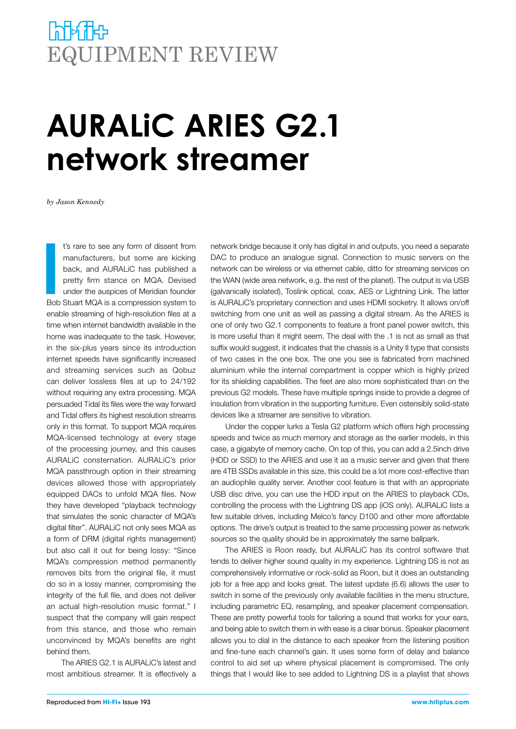## **NHATH** EQUIPMENT REVIEW

## **AURALiC ARIES G2.1 network streamer**

*by Jason Kennedy*

**I**<br>Bob t's rare to see any form of dissent from manufacturers, but some are kicking back, and AURALiC has published a pretty firm stance on MQA. Devised under the auspices of Meridian founder Bob Stuart MQA is a compression system to enable streaming of high-resolution files at a time when internet bandwidth available in the home was inadequate to the task. However, in the six-plus years since its introduction internet speeds have significantly increased and streaming services such as Qobuz can deliver lossless files at up to 24/192 without requiring any extra processing. MQA persuaded Tidal its files were the way forward and Tidal offers its highest resolution streams only in this format. To support MQA requires MQA-licensed technology at every stage of the processing journey, and this causes AURALiC consternation. AURALiC's prior MQA passthrough option in their streaming devices allowed those with appropriately equipped DACs to unfold MQA files. Now they have developed "playback technology that simulates the sonic character of MQA's digital filter". AURALiC not only sees MQA as a form of DRM (digital rights management) but also call it out for being lossy: "Since MQA's compression method permanently removes bits from the original file, it must do so in a lossy manner, compromising the integrity of the full file, and does not deliver an actual high-resolution music format." I suspect that the company will gain respect from this stance, and those who remain unconvinced by MQA's benefits are right behind them.

The ARIES G2.1 is AURALiC's latest and most ambitious streamer. It is effectively a network bridge because it only has digital in and outputs, you need a separate DAC to produce an analogue signal. Connection to music servers on the network can be wireless or via ethernet cable, ditto for streaming services on the WAN (wide area network, e.g. the rest of the planet). The output is via USB (galvanically isolated), Toslink optical, coax, AES or Lightning Link. The latter is AURALiC's proprietary connection and uses HDMI socketry. It allows on/off switching from one unit as well as passing a digital stream. As the ARIES is one of only two G2.1 components to feature a front panel power switch, this is more useful than it might seem. The deal with the .1 is not as small as that suffix would suggest, it indicates that the chassis is a Unity II type that consists of two cases in the one box. The one you see is fabricated from machined aluminium while the internal compartment is copper which is highly prized for its shielding capabilities. The feet are also more sophisticated than on the previous G2 models. These have multiple springs inside to provide a degree of insulation from vibration in the supporting furniture. Even ostensibly solid-state devices like a streamer are sensitive to vibration.

Under the copper lurks a Tesla G2 platform which offers high processing speeds and twice as much memory and storage as the earlier models, in this case, a gigabyte of memory cache. On top of this, you can add a 2.5inch drive (HDD or SSD) to the ARIES and use it as a music server and given that there are 4TB SSDs available in this size, this could be a lot more cost-effective than an audiophile quality server. Another cool feature is that with an appropriate USB disc drive, you can use the HDD input on the ARIES to playback CDs, controlling the process with the Lightning DS app (iOS only). AURALiC lists a few suitable drives, including Melco's fancy D100 and other more affordable options. The drive's output is treated to the same processing power as network sources so the quality should be in approximately the same ballpark.

The ARIES is Roon ready, but AURALiC has its control software that tends to deliver higher sound quality in my experience. Lightning DS is not as comprehensively informative or rock-solid as Roon, but it does an outstanding job for a free app and looks great. The latest update (6.6) allows the user to switch in some of the previously only available facilities in the menu structure, including parametric EQ, resampling, and speaker placement compensation. These are pretty powerful tools for tailoring a sound that works for your ears, and being able to switch them in with ease is a clear bonus. Speaker placement allows you to dial in the distance to each speaker from the listening position and fine-tune each channel's gain. It uses some form of delay and balance control to aid set up where physical placement is compromised. The only things that I would like to see added to Lightning DS is a playlist that shows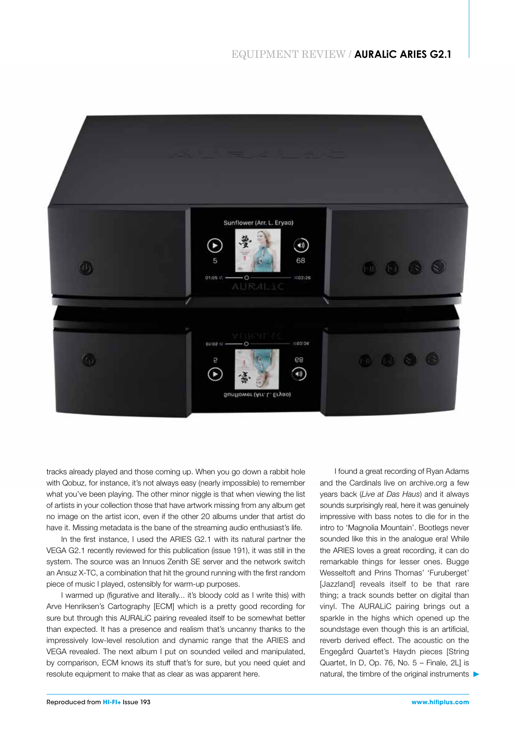

tracks already played and those coming up. When you go down a rabbit hole with Qobuz, for instance, it's not always easy (nearly impossible) to remember what you've been playing. The other minor niggle is that when viewing the list of artists in your collection those that have artwork missing from any album get no image on the artist icon, even if the other 20 albums under that artist do have it. Missing metadata is the bane of the streaming audio enthusiast's life.

In the first instance, I used the ARIES G2.1 with its natural partner the VEGA G2.1 recently reviewed for this publication (issue 191), it was still in the system. The source was an Innuos Zenith SE server and the network switch an Ansuz X-TC, a combination that hit the ground running with the first random piece of music I played, ostensibly for warm-up purposes.

I warmed up (figurative and literally... it's bloody cold as I write this) with Arve Henriksen's Cartography [ECM] which is a pretty good recording for sure but through this AURALiC pairing revealed itself to be somewhat better than expected. It has a presence and realism that's uncanny thanks to the impressively low-level resolution and dynamic range that the ARIES and VEGA revealed. The next album I put on sounded veiled and manipulated, by comparison, ECM knows its stuff that's for sure, but you need quiet and resolute equipment to make that as clear as was apparent here.

I found a great recording of Ryan Adams and the Cardinals live on archive.org a few years back (*Live at Das Haus*) and it always sounds surprisingly real, here it was genuinely impressive with bass notes to die for in the intro to 'Magnolia Mountain'. Bootlegs never sounded like this in the analogue era! While the ARIES loves a great recording, it can do remarkable things for lesser ones. Bugge Wesseltoft and Prins Thomas' 'Furuberget' [Jazzland] reveals itself to be that rare thing; a track sounds better on digital than vinyl. The AURALiC pairing brings out a sparkle in the highs which opened up the soundstage even though this is an artificial, reverb derived effect. The acoustic on the Engegård Quartet's Haydn pieces [String Quartet, In D, Op. 76, No. 5 – Finale, 2L] is natural, the timbre of the original instruments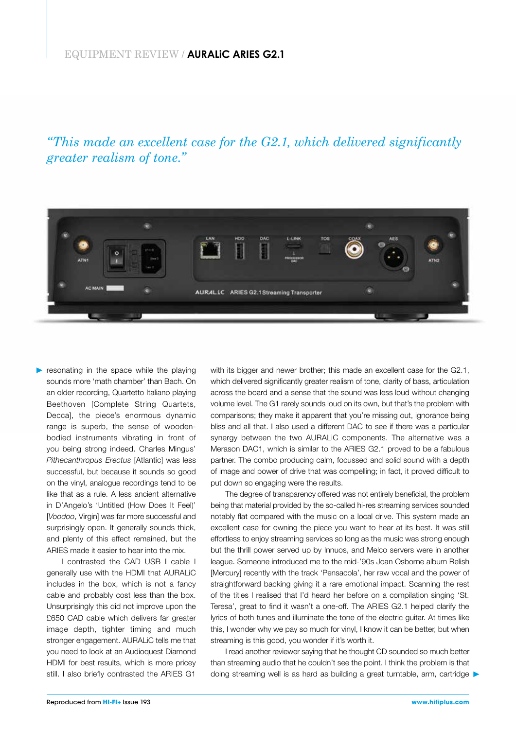*"This made an excellent case for the G2.1, which delivered significantly greater realism of tone."*



resonating in the space while the playing sounds more 'math chamber' than Bach. On an older recording, Quartetto Italiano playing Beethoven [Complete String Quartets, Decca], the piece's enormous dynamic range is superb, the sense of woodenbodied instruments vibrating in front of you being strong indeed. Charles Mingus' *Pithecanthropus Erectus* [Atlantic] was less successful, but because it sounds so good on the vinyl, analogue recordings tend to be like that as a rule. A less ancient alternative in D'Angelo's 'Untitled (How Does It Feel)' [*Voodoo*, Virgin] was far more successful and surprisingly open. It generally sounds thick, and plenty of this effect remained, but the ARIES made it easier to hear into the mix.

I contrasted the CAD USB I cable I generally use with the HDMI that AURALiC includes in the box, which is not a fancy cable and probably cost less than the box. Unsurprisingly this did not improve upon the £650 CAD cable which delivers far greater image depth, tighter timing and much stronger engagement. AURALiC tells me that you need to look at an Audioquest Diamond HDMI for best results, which is more pricey still. I also briefly contrasted the ARIES G1

with its bigger and newer brother; this made an excellent case for the G2.1, which delivered significantly greater realism of tone, clarity of bass, articulation across the board and a sense that the sound was less loud without changing volume level. The G1 rarely sounds loud on its own, but that's the problem with comparisons; they make it apparent that you're missing out, ignorance being bliss and all that. I also used a different DAC to see if there was a particular synergy between the two AURALiC components. The alternative was a Merason DAC1, which is similar to the ARIES G2.1 proved to be a fabulous partner. The combo producing calm, focussed and solid sound with a depth of image and power of drive that was compelling; in fact, it proved difficult to put down so engaging were the results.

The degree of transparency offered was not entirely beneficial, the problem being that material provided by the so-called hi-res streaming services sounded notably flat compared with the music on a local drive. This system made an excellent case for owning the piece you want to hear at its best. It was still effortless to enjoy streaming services so long as the music was strong enough but the thrill power served up by Innuos, and Melco servers were in another league. Someone introduced me to the mid-'90s Joan Osborne album Relish [Mercury] recently with the track 'Pensacola', her raw vocal and the power of straightforward backing giving it a rare emotional impact. Scanning the rest of the titles I realised that I'd heard her before on a compilation singing 'St. Teresa', great to find it wasn't a one-off. The ARIES G2.1 helped clarify the lyrics of both tunes and illuminate the tone of the electric guitar. At times like this, I wonder why we pay so much for vinyl, I know it can be better, but when streaming is this good, you wonder if it's worth it.

I read another reviewer saying that he thought CD sounded so much better than streaming audio that he couldn't see the point. I think the problem is that doing streaming well is as hard as building a great turntable, arm, cartridge